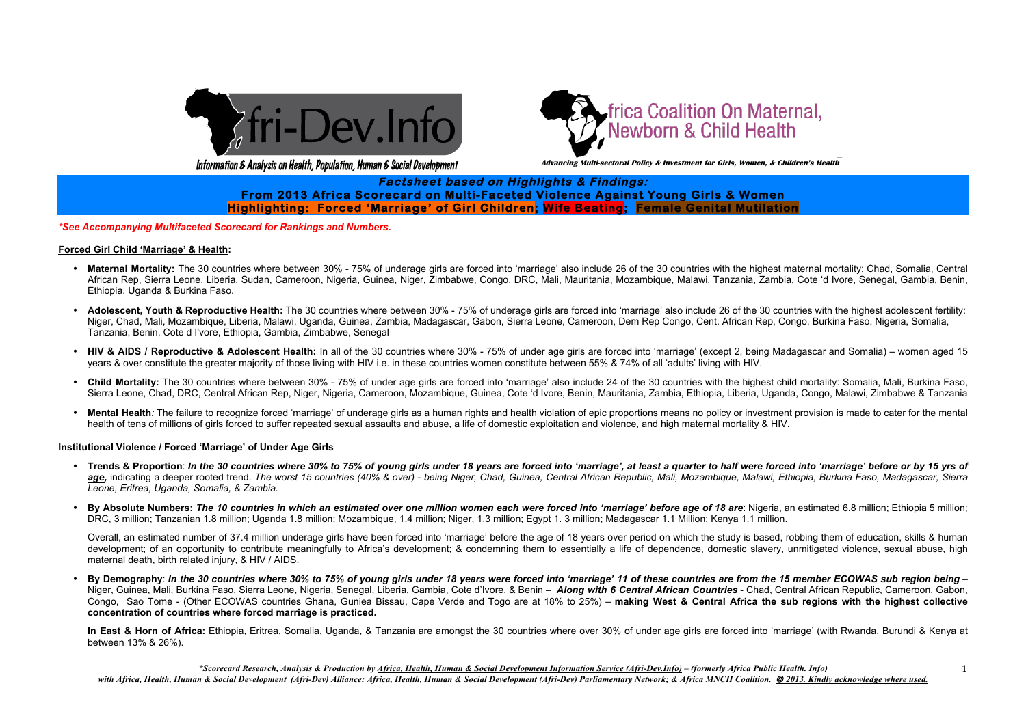



Information & Analysis on Health, Population, Human & Social Development and advancing Multi-sectoral Policy & Investment for Girls, Women, & Children's Health

*\*Scorecard Research, Analysis & Production by Africa, Health, Human & Social Development Information Service (Afri-Dev.Info) – (formerly Africa Public Health. Info) with Africa, Health, Human & Social Development (Afri-Dev) Alliance; Africa, Health, Human & Social Development (Afri-Dev) Parliamentary Network; & Africa MNCH Coalition.* © *2013. Kindly acknowledge where used.*



# **!!!!!!!!!!!!!!!!!!!!!!!!!!!!!!!!!! Factsheet based on Highlights & Findings: From 2013 Africa Scorecard on Multi-Faceted Violence Against Young Girls & Women Highlighting: Forced 'Marriage' of Girl Children; Wife Beating; Female Genital Mutilation**

## *\*See Accompanying Multifaceted Scorecard for Rankings and Numbers.*

## **Forced Girl Child 'Marriage' & Health:**

- Maternal Mortality: The 30 countries where between 30% 75% of underage girls are forced into 'marriage' also include 26 of the 30 countries with the highest maternal mortality: Chad, Somalia, Central African Rep, Sierra Leone, Liberia, Sudan, Cameroon, Nigeria, Guinea, Niger, Zimbabwe, Congo, DRC, Mali, Mauritania, Mozambique, Malawi, Tanzania, Zambia, Cote 'd Ivore, Senegal, Gambia, Benin, Ethiopia, Uganda & Burkina Faso.
- **Adolescent, Youth & Reproductive Health:** The 30 countries where between 30% 75% of underage girls are forced into 'marriage' also include 26 of the 30 countries with the highest adolescent fertility: Niger, Chad, Mali, Mozambique, Liberia, Malawi, Uganda, Guinea, Zambia, Madagascar, Gabon, Sierra Leone, Cameroon, Dem Rep Congo, Cent. African Rep, Congo, Burkina Faso, Nigeria, Somalia, Tanzania, Benin, Cote d I'vore, Ethiopia, Gambia, Zimbabwe, Senegal
- HIV & AIDS / Reproductive & Adolescent Health: In all of the 30 countries where 30% 75% of under age girls are forced into 'marriage' (except 2, being Madagascar and Somalia) women aged 15 years & over constitute the greater majority of those living with HIV i.e. in these countries women constitute between 55% & 74% of all 'adults' living with HIV.
- Child Mortality: The 30 countries where between 30% 75% of under age girls are forced into 'marriage' also include 24 of the 30 countries with the highest child mortality: Somalia, Mali, Burkina Faso, Sierra Leone, Chad, DRC, Central African Rep, Niger, Nigeria, Cameroon, Mozambique, Guinea, Cote 'd Ivore, Benin, Mauritania, Zambia, Ethiopia, Liberia, Uganda, Congo, Malawi, Zimbabwe & Tanzania
- Mental Health: The failure to recognize forced 'marriage' of underage girls as a human rights and health violation of epic proportions means no policy or investment provision is made to cater for the mental health of tens of millions of girls forced to suffer repeated sexual assaults and abuse, a life of domestic exploitation and violence, and high maternal mortality & HIV.

In East & Horn of Africa: Ethiopia, Eritrea, Somalia, Uganda, & Tanzania are amongst the 30 countries where over 30% of under age girls are forced into 'marriage' (with Rwanda, Burundi & Kenya at between 13% & 26%).

## **Institutional Violence / Forced 'Marriage' of Under Age Girls**

- **Trends & Proportion**: *In the 30 countries where 30% to 75% of young girls under 18 years are forced into 'marriage', at least a quarter to half were forced into 'marriage' before or by 15 yrs of age,* indicating a deeper rooted trend. *The worst 15 countries (40% & over)* - *being Niger, Chad, Guinea, Central African Republic, Mali, Mozambique, Malawi, Ethiopia, Burkina Faso, Madagascar, Sierra Leone, Eritrea, Uganda, Somalia, & Zambia.*
- **By Absolute Numbers:** *The 10 countries in which an estimated over one million women each were forced into 'marriage' before age of 18 are*: Nigeria, an estimated 6.8 million; Ethiopia 5 million; DRC, 3 million; Tanzanian 1.8 million; Uganda 1.8 million; Mozambique, 1.4 million; Niger, 1.3 million; Egypt 1. 3 million; Madagascar 1.1 Million; Kenya 1.1 million.

Overall, an estimated number of 37.4 million underage girls have been forced into 'marriage' before the age of 18 years over period on which the study is based, robbing them of education, skills & human development; of an opportunity to contribute meaningfully to Africa's development; & condemning them to essentially a life of dependence, domestic slavery, unmitigated violence, sexual abuse, high maternal death, birth related injury, & HIV / AIDS.

• **By Demography**: *In the 30 countries where 30% to 75% of young girls under 18 years were forced into 'marriage' 11 of these countries are from the 15 member ECOWAS sub region being* – Niger, Guinea, Mali, Burkina Faso, Sierra Leone, Nigeria, Senegal, Liberia, Gambia, Cote d'Ivore, & Benin – *Along with 6 Central African Countries* - Chad, Central African Republic, Cameroon, Gabon, Congo, Sao Tome - (Other ECOWAS countries Ghana, Guniea Bissau, Cape Verde and Togo are at 18% to 25%) – **making West & Central Africa the sub regions with the highest collective concentration of countries where forced marriage is practiced.**